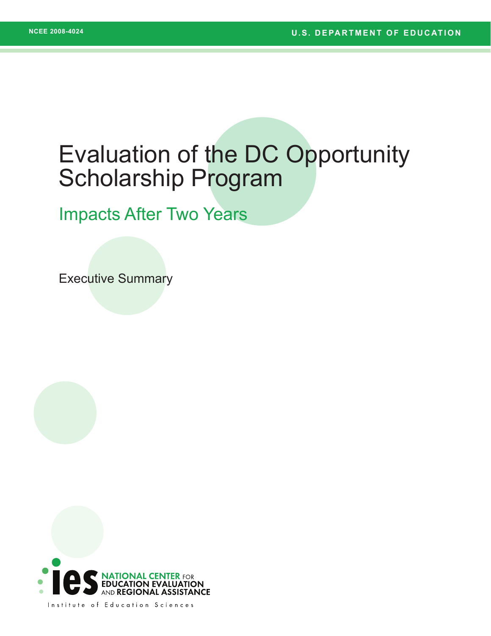# Evaluation of the DC Opportunity Scholarship Program

## Impacts After Two Years

Executive Summary

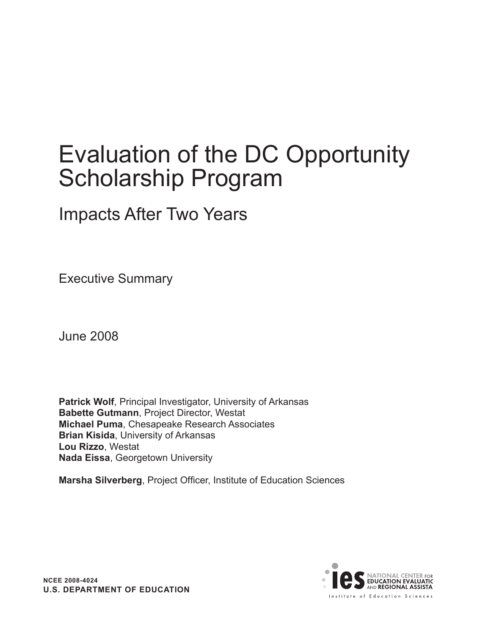# Evaluation of the DC Opportunity Scholarship Program

## Impacts After Two Years

Executive Summary

June 2008

**Patrick Wolf**, Principal Investigator, University of Arkansas **Babette Gutmann**, Project Director, Westat **Michael Puma**, Chesapeake Research Associates **Brian Kisida**, University of Arkansas **Lou Rizzo**, Westat **Nada Eissa**, Georgetown University

**Marsha Silverberg**, Project Officer, Institute of Education Sciences

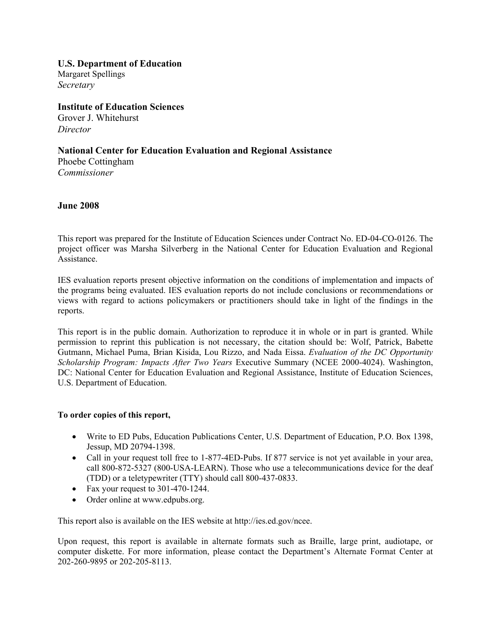**U.S. Department of Education**  Margaret Spellings *Secretary* 

**Institute of Education Sciences**  Grover J. Whitehurst *Director* 

**National Center for Education Evaluation and Regional Assistance**  Phoebe Cottingham *Commissioner* 

**June 2008** 

This report was prepared for the Institute of Education Sciences under Contract No. ED-04-CO-0126. The project officer was Marsha Silverberg in the National Center for Education Evaluation and Regional Assistance.

IES evaluation reports present objective information on the conditions of implementation and impacts of the programs being evaluated. IES evaluation reports do not include conclusions or recommendations or views with regard to actions policymakers or practitioners should take in light of the findings in the reports.

This report is in the public domain. Authorization to reproduce it in whole or in part is granted. While permission to reprint this publication is not necessary, the citation should be: Wolf, Patrick, Babette Gutmann, Michael Puma, Brian Kisida, Lou Rizzo, and Nada Eissa. *Evaluation of the DC Opportunity Scholarship Program: Impacts After Two Years* Executive Summary (NCEE 2000-4024). Washington, DC: National Center for Education Evaluation and Regional Assistance, Institute of Education Sciences, U.S. Department of Education.

#### **To order copies of this report,**

- Write to ED Pubs, Education Publications Center, U.S. Department of Education, P.O. Box 1398, Jessup, MD 20794-1398.
- Call in your request toll free to 1-877-4ED-Pubs. If 877 service is not yet available in your area, call 800-872-5327 (800-USA-LEARN). Those who use a telecommunications device for the deaf (TDD) or a teletypewriter (TTY) should call 800-437-0833.
- Fax your request to 301-470-1244.
- Order online at www.edpubs.org.

This report also is available on the IES website at [http://ies.ed.gov/ncee.](http://ies.ed.gov/ncee)

Upon request, this report is available in alternate formats such as Braille, large print, audiotape, or computer diskette. For more information, please contact the Department's Alternate Format Center at 202-260-9895 or 202-205-8113.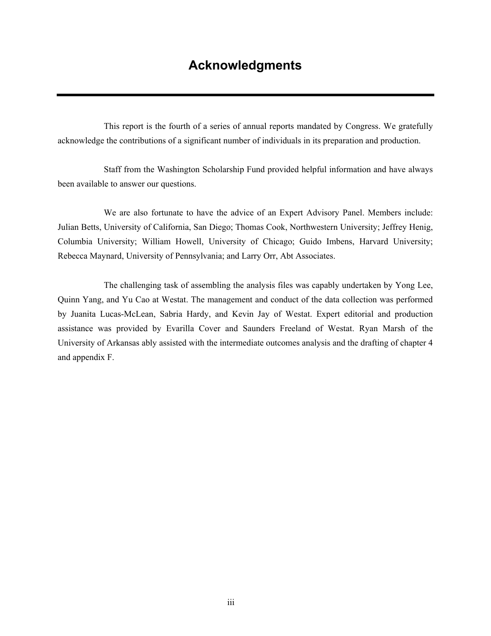This report is the fourth of a series of annual reports mandated by Congress. We gratefully acknowledge the contributions of a significant number of individuals in its preparation and production.

Staff from the Washington Scholarship Fund provided helpful information and have always been available to answer our questions.

We are also fortunate to have the advice of an Expert Advisory Panel. Members include: Julian Betts, University of California, San Diego; Thomas Cook, Northwestern University; Jeffrey Henig, Columbia University; William Howell, University of Chicago; Guido Imbens, Harvard University; Rebecca Maynard, University of Pennsylvania; and Larry Orr, Abt Associates.

The challenging task of assembling the analysis files was capably undertaken by Yong Lee, Quinn Yang, and Yu Cao at Westat. The management and conduct of the data collection was performed by Juanita Lucas-McLean, Sabria Hardy, and Kevin Jay of Westat. Expert editorial and production assistance was provided by Evarilla Cover and Saunders Freeland of Westat. Ryan Marsh of the University of Arkansas ably assisted with the intermediate outcomes analysis and the drafting of chapter 4 and appendix F.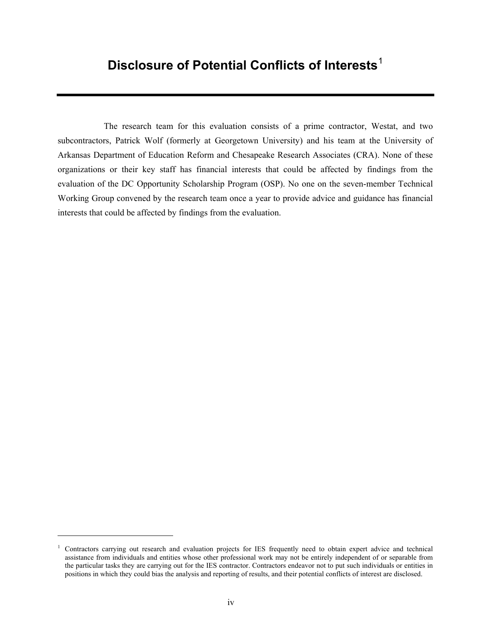### **Disclosure of Potential Conflicts of Interests**[1](#page-4-0)

The research team for this evaluation consists of a prime contractor, Westat, and two subcontractors, Patrick Wolf (formerly at Georgetown University) and his team at the University of Arkansas Department of Education Reform and Chesapeake Research Associates (CRA). None of these organizations or their key staff has financial interests that could be affected by findings from the evaluation of the DC Opportunity Scholarship Program (OSP). No one on the seven-member Technical Working Group convened by the research team once a year to provide advice and guidance has financial interests that could be affected by findings from the evaluation.

<span id="page-4-0"></span><sup>&</sup>lt;sup>1</sup> Contractors carrying out research and evaluation projects for IES frequently need to obtain expert advice and technical assistance from individuals and entities whose other professional work may not be entirely independent of or separable from the particular tasks they are carrying out for the IES contractor. Contractors endeavor not to put such individuals or entities in positions in which they could bias the analysis and reporting of results, and their potential conflicts of interest are disclosed.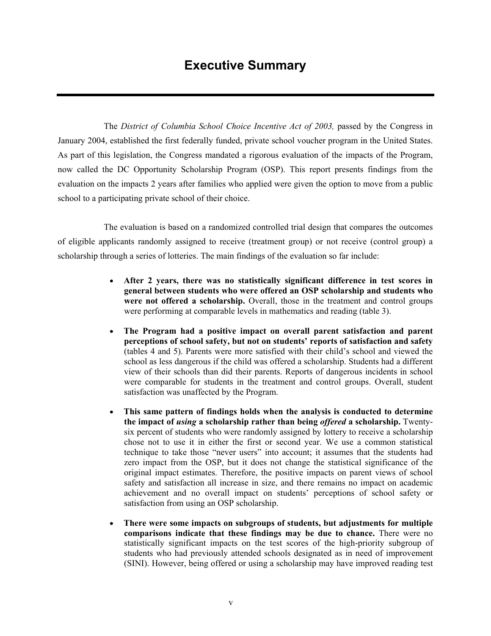### **Executive Summary**

The *District of Columbia School Choice Incentive Act of 2003,* passed by the Congress in January 2004, established the first federally funded, private school voucher program in the United States. As part of this legislation, the Congress mandated a rigorous evaluation of the impacts of the Program, now called the DC Opportunity Scholarship Program (OSP). This report presents findings from the evaluation on the impacts 2 years after families who applied were given the option to move from a public school to a participating private school of their choice.

The evaluation is based on a randomized controlled trial design that compares the outcomes of eligible applicants randomly assigned to receive (treatment group) or not receive (control group) a scholarship through a series of lotteries. The main findings of the evaluation so far include:

- **After 2 years, there was no statistically significant difference in test scores in general between students who were offered an OSP scholarship and students who were not offered a scholarship.** Overall, those in the treatment and control groups were performing at comparable levels in mathematics and reading (table 3).
- **The Program had a positive impact on overall parent satisfaction and parent perceptions of school safety, but not on students' reports of satisfaction and safety**  (tables 4 and 5). Parents were more satisfied with their child's school and viewed the school as less dangerous if the child was offered a scholarship. Students had a different view of their schools than did their parents. Reports of dangerous incidents in school were comparable for students in the treatment and control groups. Overall, student satisfaction was unaffected by the Program.
- **This same pattern of findings holds when the analysis is conducted to determine the impact of** *using* **a scholarship rather than being** *offered* **a scholarship.** Twentysix percent of students who were randomly assigned by lottery to receive a scholarship chose not to use it in either the first or second year. We use a common statistical technique to take those "never users" into account; it assumes that the students had zero impact from the OSP, but it does not change the statistical significance of the original impact estimates. Therefore, the positive impacts on parent views of school safety and satisfaction all increase in size, and there remains no impact on academic achievement and no overall impact on students' perceptions of school safety or satisfaction from using an OSP scholarship.
- **There were some impacts on subgroups of students, but adjustments for multiple comparisons indicate that these findings may be due to chance.** There were no statistically significant impacts on the test scores of the high-priority subgroup of students who had previously attended schools designated as in need of improvement (SINI). However, being offered or using a scholarship may have improved reading test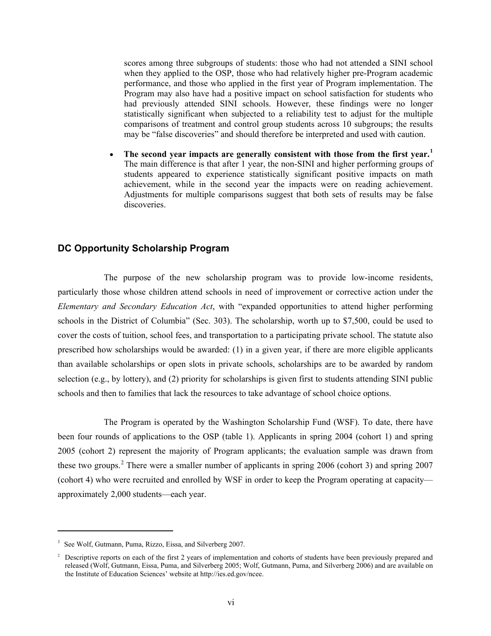scores among three subgroups of students: those who had not attended a SINI school when they applied to the OSP, those who had relatively higher pre-Program academic performance, and those who applied in the first year of Program implementation. The Program may also have had a positive impact on school satisfaction for students who had previously attended SINI schools. However, these findings were no longer statistically significant when subjected to a reliability test to adjust for the multiple comparisons of treatment and control group students across 10 subgroups; the results may be "false discoveries" and should therefore be interpreted and used with caution.

• **The second year impacts are generally consistent with those from the first year.[1](#page-6-0)** The main difference is that after 1 year, the non-SINI and higher performing groups of students appeared to experience statistically significant positive impacts on math achievement, while in the second year the impacts were on reading achievement. Adjustments for multiple comparisons suggest that both sets of results may be false discoveries.

#### **DC Opportunity Scholarship Program**

The purpose of the new scholarship program was to provide low-income residents, particularly those whose children attend schools in need of improvement or corrective action under the *Elementary and Secondary Education Act*, with "expanded opportunities to attend higher performing schools in the District of Columbia" (Sec. 303). The scholarship, worth up to \$7,500, could be used to cover the costs of tuition, school fees, and transportation to a participating private school. The statute also prescribed how scholarships would be awarded: (1) in a given year, if there are more eligible applicants than available scholarships or open slots in private schools, scholarships are to be awarded by random selection (e.g., by lottery), and (2) priority for scholarships is given first to students attending SINI public schools and then to families that lack the resources to take advantage of school choice options.

The Program is operated by the Washington Scholarship Fund (WSF). To date, there have been four rounds of applications to the OSP (table 1). Applicants in spring 2004 (cohort 1) and spring 2005 (cohort 2) represent the majority of Program applicants; the evaluation sample was drawn from these two groups.<sup>[2](#page-6-1)</sup> There were a smaller number of applicants in spring 2006 (cohort 3) and spring 2007 (cohort 4) who were recruited and enrolled by WSF in order to keep the Program operating at capacity approximately 2,000 students—each year.

<span id="page-6-0"></span><sup>1</sup> See Wolf, Gutmann, Puma, Rizzo, Eissa, and Silverberg 2007.

<span id="page-6-1"></span><sup>&</sup>lt;sup>2</sup> Descriptive reports on each of the first 2 years of implementation and cohorts of students have been previously prepared and released (Wolf, Gutmann, Eissa, Puma, and Silverberg 2005; Wolf, Gutmann, Puma, and Silverberg 2006) and are available on the Institute of Education Sciences' website a[t http://ies.ed.gov/ncee.](http://ies.ed.gov/ncee)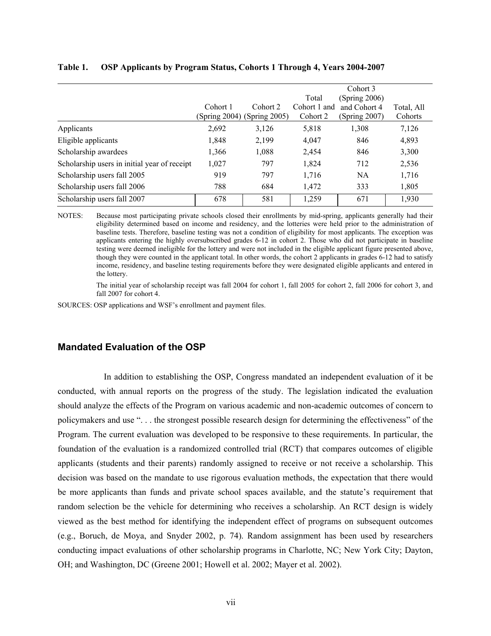|                                              |                           |                           | Total                    | Cohort 3<br>(Spring 2006)     |                       |
|----------------------------------------------|---------------------------|---------------------------|--------------------------|-------------------------------|-----------------------|
|                                              | Cohort 1<br>(Spring 2004) | Cohort 2<br>(Spring 2005) | Cohort 1 and<br>Cohort 2 | and Cohort 4<br>(Spring 2007) | Total, All<br>Cohorts |
| Applicants                                   | 2,692                     | 3,126                     | 5,818                    | 1,308                         | 7,126                 |
| Eligible applicants                          | 1,848                     | 2,199                     | 4,047                    | 846                           | 4,893                 |
| Scholarship awardees                         | 1,366                     | 1,088                     | 2,454                    | 846                           | 3,300                 |
| Scholarship users in initial year of receipt | 1,027                     | 797                       | 1,824                    | 712                           | 2,536                 |
| Scholarship users fall 2005                  | 919                       | 797                       | 1,716                    | <b>NA</b>                     | 1,716                 |
| Scholarship users fall 2006                  | 788                       | 684                       | 1,472                    | 333                           | 1,805                 |
| Scholarship users fall 2007                  | 678                       | 581                       | 1,259                    | 671                           | 1,930                 |

#### **Table 1. OSP Applicants by Program Status, Cohorts 1 Through 4, Years 2004-2007**

NOTES: Because most participating private schools closed their enrollments by mid-spring, applicants generally had their eligibility determined based on income and residency, and the lotteries were held prior to the administration of baseline tests. Therefore, baseline testing was not a condition of eligibility for most applicants. The exception was applicants entering the highly oversubscribed grades 6-12 in cohort 2. Those who did not participate in baseline testing were deemed ineligible for the lottery and were not included in the eligible applicant figure presented above, though they were counted in the applicant total. In other words, the cohort 2 applicants in grades 6-12 had to satisfy income, residency, and baseline testing requirements before they were designated eligible applicants and entered in the lottery.

The initial year of scholarship receipt was fall 2004 for cohort 1, fall 2005 for cohort 2, fall 2006 for cohort 3, and fall 2007 for cohort 4.

SOURCES: OSP applications and WSF's enrollment and payment files.

#### **Mandated Evaluation of the OSP**

In addition to establishing the OSP, Congress mandated an independent evaluation of it be conducted, with annual reports on the progress of the study. The legislation indicated the evaluation should analyze the effects of the Program on various academic and non-academic outcomes of concern to policymakers and use ". . . the strongest possible research design for determining the effectiveness" of the Program. The current evaluation was developed to be responsive to these requirements. In particular, the foundation of the evaluation is a randomized controlled trial (RCT) that compares outcomes of eligible applicants (students and their parents) randomly assigned to receive or not receive a scholarship. This decision was based on the mandate to use rigorous evaluation methods, the expectation that there would be more applicants than funds and private school spaces available, and the statute's requirement that random selection be the vehicle for determining who receives a scholarship. An RCT design is widely viewed as the best method for identifying the independent effect of programs on subsequent outcomes (e.g., Boruch, de Moya, and Snyder 2002, p. 74). Random assignment has been used by researchers conducting impact evaluations of other scholarship programs in Charlotte, NC; New York City; Dayton, OH; and Washington, DC (Greene 2001; Howell et al. 2002; Mayer et al. 2002).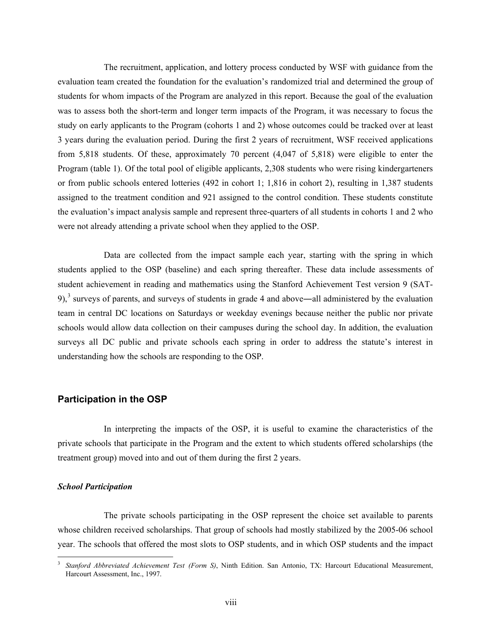The recruitment, application, and lottery process conducted by WSF with guidance from the evaluation team created the foundation for the evaluation's randomized trial and determined the group of students for whom impacts of the Program are analyzed in this report. Because the goal of the evaluation was to assess both the short-term and longer term impacts of the Program, it was necessary to focus the study on early applicants to the Program (cohorts 1 and 2) whose outcomes could be tracked over at least 3 years during the evaluation period. During the first 2 years of recruitment, WSF received applications from 5,818 students. Of these, approximately 70 percent (4,047 of 5,818) were eligible to enter the Program (table 1). Of the total pool of eligible applicants, 2,308 students who were rising kindergarteners or from public schools entered lotteries (492 in cohort 1; 1,816 in cohort 2), resulting in 1,387 students assigned to the treatment condition and 921 assigned to the control condition. These students constitute the evaluation's impact analysis sample and represent three-quarters of all students in cohorts 1 and 2 who were not already attending a private school when they applied to the OSP.

Data are collected from the impact sample each year, starting with the spring in which students applied to the OSP (baseline) and each spring thereafter. These data include assessments of student achievement in reading and mathematics using the Stanford Achievement Test version 9 (SAT- $9$ ,<sup>[3](#page-8-0)</sup> surveys of parents, and surveys of students in grade 4 and above—all administered by the evaluation team in central DC locations on Saturdays or weekday evenings because neither the public nor private schools would allow data collection on their campuses during the school day. In addition, the evaluation surveys all DC public and private schools each spring in order to address the statute's interest in understanding how the schools are responding to the OSP.

#### **Participation in the OSP**

In interpreting the impacts of the OSP, it is useful to examine the characteristics of the private schools that participate in the Program and the extent to which students offered scholarships (the treatment group) moved into and out of them during the first 2 years.

#### *School Participation*

 $\overline{a}$ 

The private schools participating in the OSP represent the choice set available to parents whose children received scholarships. That group of schools had mostly stabilized by the 2005-06 school year. The schools that offered the most slots to OSP students, and in which OSP students and the impact

<span id="page-8-0"></span><sup>3</sup> *Stanford Abbreviated Achievement Test (Form S)*, Ninth Edition. San Antonio, TX: Harcourt Educational Measurement, Harcourt Assessment, Inc., 1997.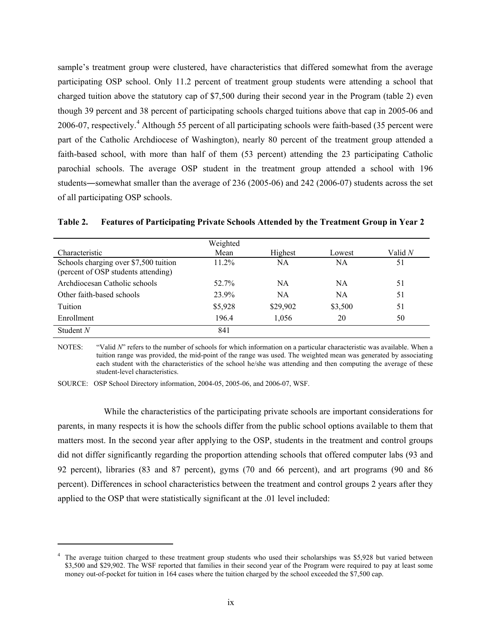sample's treatment group were clustered, have characteristics that differed somewhat from the average participating OSP school. Only 11.2 percent of treatment group students were attending a school that charged tuition above the statutory cap of \$7,500 during their second year in the Program (table 2) even though 39 percent and 38 percent of participating schools charged tuitions above that cap in 2005-06 and 2006-07, respectively.<sup>[4](#page-9-0)</sup> Although 55 percent of all participating schools were faith-based (35 percent were part of the Catholic Archdiocese of Washington), nearly 80 percent of the treatment group attended a faith-based school, with more than half of them (53 percent) attending the 23 participating Catholic parochial schools. The average OSP student in the treatment group attended a school with 196 students―somewhat smaller than the average of 236 (2005-06) and 242 (2006-07) students across the set of all participating OSP schools.

|                                                                              | Weighted |           |           |           |
|------------------------------------------------------------------------------|----------|-----------|-----------|-----------|
| Characteristic                                                               | Mean     | Highest   | Lowest    | Valid $N$ |
| Schools charging over \$7,500 tuition<br>(percent of OSP students attending) | $11.2\%$ | <b>NA</b> | <b>NA</b> | 51        |
| Archdiocesan Catholic schools                                                | 52.7%    | NA.       | <b>NA</b> | 51        |
| Other faith-based schools                                                    | 23.9%    | <b>NA</b> | <b>NA</b> | 51        |
| Tuition                                                                      | \$5,928  | \$29,902  | \$3,500   | 51        |
| Enrollment                                                                   | 196.4    | 1,056     | 20        | 50        |
| Student $N$                                                                  | 841      |           |           |           |

**Table 2. Features of Participating Private Schools Attended by the Treatment Group in Year 2** 

NOTES: "Valid N" refers to the number of schools for which information on a particular characteristic was available. When a tuition range was provided, the mid-point of the range was used. The weighted mean was generated by associating each student with the characteristics of the school he/she was attending and then computing the average of these student-level characteristics.

SOURCE: OSP School Directory information, 2004-05, 2005-06, and 2006-07, WSF.

 $\overline{a}$ 

While the characteristics of the participating private schools are important considerations for parents, in many respects it is how the schools differ from the public school options available to them that matters most. In the second year after applying to the OSP, students in the treatment and control groups did not differ significantly regarding the proportion attending schools that offered computer labs (93 and 92 percent), libraries (83 and 87 percent), gyms (70 and 66 percent), and art programs (90 and 86 percent). Differences in school characteristics between the treatment and control groups 2 years after they applied to the OSP that were statistically significant at the .01 level included:

<span id="page-9-0"></span><sup>4</sup> The average tuition charged to these treatment group students who used their scholarships was \$5,928 but varied between \$3,500 and \$29,902. The WSF reported that families in their second year of the Program were required to pay at least some money out-of-pocket for tuition in 164 cases where the tuition charged by the school exceeded the \$7,500 cap.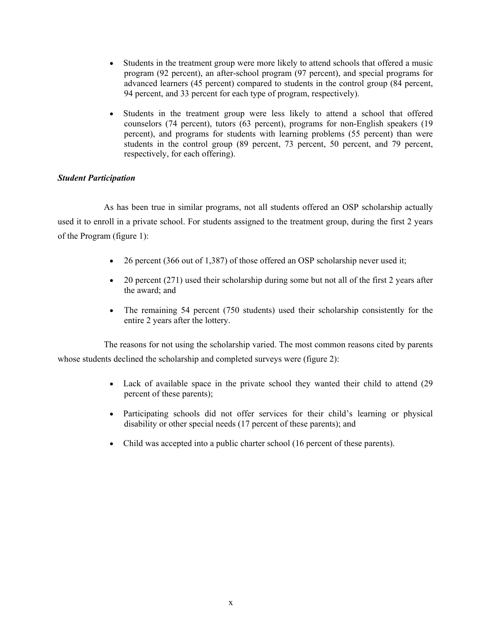- Students in the treatment group were more likely to attend schools that offered a music program (92 percent), an after-school program (97 percent), and special programs for advanced learners (45 percent) compared to students in the control group (84 percent, 94 percent, and 33 percent for each type of program, respectively).
- Students in the treatment group were less likely to attend a school that offered counselors (74 percent), tutors (63 percent), programs for non-English speakers (19 percent), and programs for students with learning problems (55 percent) than were students in the control group (89 percent, 73 percent, 50 percent, and 79 percent, respectively, for each offering).

#### *Student Participation*

As has been true in similar programs, not all students offered an OSP scholarship actually used it to enroll in a private school. For students assigned to the treatment group, during the first 2 years of the Program (figure 1):

- 26 percent (366 out of 1,387) of those offered an OSP scholarship never used it;
- 20 percent (271) used their scholarship during some but not all of the first 2 years after the award; and
- The remaining 54 percent (750 students) used their scholarship consistently for the entire 2 years after the lottery.

The reasons for not using the scholarship varied. The most common reasons cited by parents whose students declined the scholarship and completed surveys were (figure 2):

- Lack of available space in the private school they wanted their child to attend (29 percent of these parents);
- Participating schools did not offer services for their child's learning or physical disability or other special needs (17 percent of these parents); and
- Child was accepted into a public charter school (16 percent of these parents).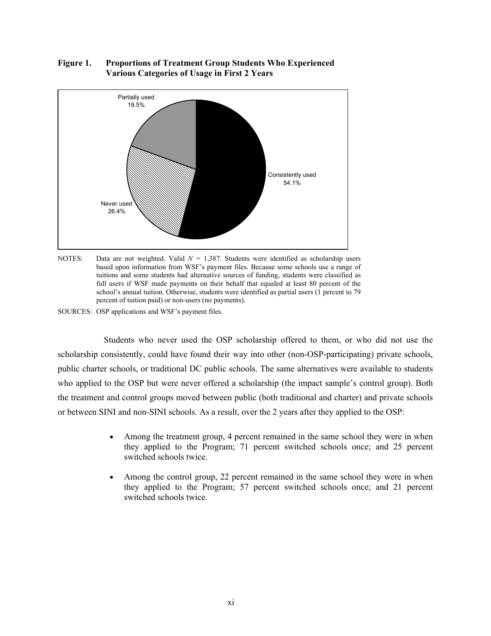

#### **Figure 1. Proportions of Treatment Group Students Who Experienced Various Categories of Usage in First 2 Years**

NOTES: Data are not weighted. Valid *N =* 1,387. Students were identified as scholarship users based upon information from WSF's payment files. Because some schools use a range of tuitions and some students had alternative sources of funding, students were classified as full users if WSF made payments on their behalf that equaled at least 80 percent of the school's annual tuition. Otherwise, students were identified as partial users (1 percent to 79 percent of tuition paid) or non-users (no payments).

SOURCES: OSP applications and WSF's payment files.

Students who never used the OSP scholarship offered to them, or who did not use the scholarship consistently, could have found their way into other (non-OSP-participating) private schools, public charter schools, or traditional DC public schools. The same alternatives were available to students who applied to the OSP but were never offered a scholarship (the impact sample's control group). Both the treatment and control groups moved between public (both traditional and charter) and private schools or between SINI and non-SINI schools. As a result, over the 2 years after they applied to the OSP:

- Among the treatment group, 4 percent remained in the same school they were in when they applied to the Program; 71 percent switched schools once; and 25 percent switched schools twice.
- Among the control group, 22 percent remained in the same school they were in when they applied to the Program; 57 percent switched schools once; and 21 percent switched schools twice.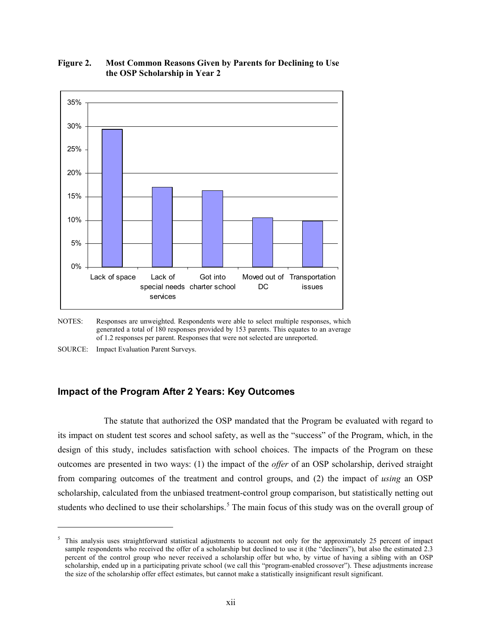

#### **Figure 2. Most Common Reasons Given by Parents for Declining to Use the OSP Scholarship in Year 2**

NOTES: Responses are unweighted. Respondents were able to select multiple responses, which generated a total of 180 responses provided by 153 parents. This equates to an average of 1.2 responses per parent. Responses that were not selected are unreported.

SOURCE: Impact Evaluation Parent Surveys.

 $\overline{a}$ 

#### **Impact of the Program After 2 Years: Key Outcomes**

The statute that authorized the OSP mandated that the Program be evaluated with regard to its impact on student test scores and school safety, as well as the "success" of the Program, which, in the design of this study, includes satisfaction with school choices. The impacts of the Program on these outcomes are presented in two ways: (1) the impact of the *offer* of an OSP scholarship, derived straight from comparing outcomes of the treatment and control groups, and (2) the impact of *using* an OSP scholarship, calculated from the unbiased treatment-control group comparison, but statistically netting out students who declined to use their scholarships.<sup>[5](#page-12-0)</sup> The main focus of this study was on the overall group of

<span id="page-12-0"></span> $5$  This analysis uses straightforward statistical adjustments to account not only for the approximately 25 percent of impact sample respondents who received the offer of a scholarship but declined to use it (the "decliners"), but also the estimated 2.3 percent of the control group who never received a scholarship offer but who, by virtue of having a sibling with an OSP scholarship, ended up in a participating private school (we call this "program-enabled crossover"). These adjustments increase the size of the scholarship offer effect estimates, but cannot make a statistically insignificant result significant.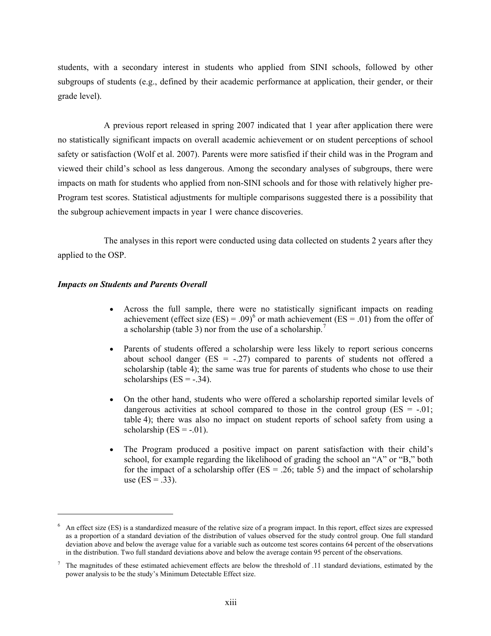students, with a secondary interest in students who applied from SINI schools, followed by other subgroups of students (e.g., defined by their academic performance at application, their gender, or their grade level).

A previous report released in spring 2007 indicated that 1 year after application there were no statistically significant impacts on overall academic achievement or on student perceptions of school safety or satisfaction (Wolf et al. 2007). Parents were more satisfied if their child was in the Program and viewed their child's school as less dangerous. Among the secondary analyses of subgroups, there were impacts on math for students who applied from non-SINI schools and for those with relatively higher pre-Program test scores. Statistical adjustments for multiple comparisons suggested there is a possibility that the subgroup achievement impacts in year 1 were chance discoveries.

The analyses in this report were conducted using data collected on students 2 years after they applied to the OSP.

#### *Impacts on Students and Parents Overall*

- Across the full sample, there were no statistically significant impacts on reading achievement (effect size  $(ES) = .09)^6$  $(ES) = .09)^6$  or math achievement  $(ES = .01)$  from the offer of a scholarship (table 3) nor from the use of a scholarship.<sup>[7](#page-13-1)</sup>
- Parents of students offered a scholarship were less likely to report serious concerns about school danger  $(ES = -0.27)$  compared to parents of students not offered a scholarship (table 4); the same was true for parents of students who chose to use their scholarships  $(ES = -.34)$ .
- On the other hand, students who were offered a scholarship reported similar levels of dangerous activities at school compared to those in the control group ( $ES = -0.01$ ; table 4); there was also no impact on student reports of school safety from using a scholarship  $(ES = -0.01)$ .
- The Program produced a positive impact on parent satisfaction with their child's school, for example regarding the likelihood of grading the school an "A" or "B," both for the impact of a scholarship offer ( $ES = .26$ ; table 5) and the impact of scholarship use ( $ES = .33$ ).

<span id="page-13-0"></span><sup>6</sup> An effect size (ES) is a standardized measure of the relative size of a program impact. In this report, effect sizes are expressed as a proportion of a standard deviation of the distribution of values observed for the study control group. One full standard deviation above and below the average value for a variable such as outcome test scores contains 64 percent of the observations in the distribution. Two full standard deviations above and below the average contain 95 percent of the observations.

<span id="page-13-1"></span> $7$  The magnitudes of these estimated achievement effects are below the threshold of .11 standard deviations, estimated by the power analysis to be the study's Minimum Detectable Effect size.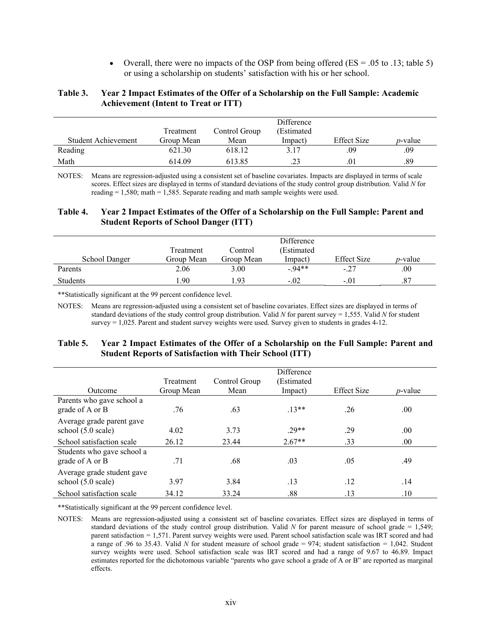• Overall, there were no impacts of the OSP from being offered ( $ES = .05$  to .13; table 5) or using a scholarship on students' satisfaction with his or her school.

#### **Table 3. Year 2 Impact Estimates of the Offer of a Scholarship on the Full Sample: Academic Achievement (Intent to Treat or ITT)**

|                     | Difference<br>(Estimated<br>Control Group<br>Treatment |        |          |             |                 |
|---------------------|--------------------------------------------------------|--------|----------|-------------|-----------------|
| Student Achievement | Group Mean                                             | Mean   | (Impact) | Effect Size | <i>p</i> -value |
| Reading             | 621.30                                                 | 618.12 | 3.17     | .09         | .09             |
| Math                | 614.09                                                 | 613.85 | ر ے .    | .01         | .89             |

NOTES: Means are regression-adjusted using a consistent set of baseline covariates. Impacts are displayed in terms of scale scores. Effect sizes are displayed in terms of standard deviations of the study control group distribution. Valid *N* for reading  $= 1,580$ ; math  $= 1,585$ . Separate reading and math sample weights were used.

#### **Table 4. Year 2 Impact Estimates of the Offer of a Scholarship on the Full Sample: Parent and Student Reports of School Danger (ITT)**

| School Danger   | Treatment<br>Group Mean | Control<br>Group Mean | Difference<br>(Estimated<br>(Impact) | <b>Effect Size</b> | <i>p</i> -value |
|-----------------|-------------------------|-----------------------|--------------------------------------|--------------------|-----------------|
| Parents         | 2.06                    | 3.00                  | $-94**$                              | $-.27$             | .00.            |
| <b>Students</b> | -90                     | .93                   | $-.02$                               | $-.01$             | .87             |

\*\*Statistically significant at the 99 percent confidence level.

NOTES: Means are regression-adjusted using a consistent set of baseline covariates. Effect sizes are displayed in terms of standard deviations of the study control group distribution. Valid *N* for parent survey = 1,555. Valid *N* for student survey = 1,025. Parent and student survey weights were used. Survey given to students in grades 4-12.

#### **Table 5. Year 2 Impact Estimates of the Offer of a Scholarship on the Full Sample: Parent and Student Reports of Satisfaction with Their School (ITT)**

| Outcome                                          | Treatment<br>Group Mean | Control Group<br>Mean | <b>Difference</b><br>(Estimated<br>Impact) | <b>Effect Size</b> | <i>p</i> -value |
|--------------------------------------------------|-------------------------|-----------------------|--------------------------------------------|--------------------|-----------------|
| Parents who gave school a<br>grade of A or B     | .76                     | .63                   | $13**$                                     | .26                | .00             |
| Average grade parent gave<br>school (5.0 scale)  | 4.02                    | 3.73                  | $29**$                                     | .29                | .00             |
| School satisfaction scale                        | 26.12                   | 23.44                 | $2.67**$                                   | .33                | .00             |
| Students who gave school a<br>grade of A or B    | .71                     | .68                   | .03                                        | .05                | .49             |
| Average grade student gave<br>school (5.0 scale) | 3.97                    | 3.84                  | .13                                        | .12                | .14             |
| School satisfaction scale                        | 34.12                   | 33.24                 | .88                                        | .13                | .10             |

\*\*Statistically significant at the 99 percent confidence level.

NOTES: Means are regression-adjusted using a consistent set of baseline covariates. Effect sizes are displayed in terms of standard deviations of the study control group distribution. Valid *N* for parent measure of school grade = 1,549; parent satisfaction *=* 1,571. Parent survey weights were used. Parent school satisfaction scale was IRT scored and had a range of .96 to 35.43. Valid *N* for student measure of school grade = 974; student satisfaction = 1,042. Student survey weights were used. School satisfaction scale was IRT scored and had a range of 9.67 to 46.89. Impact estimates reported for the dichotomous variable "parents who gave school a grade of A or B" are reported as marginal effects.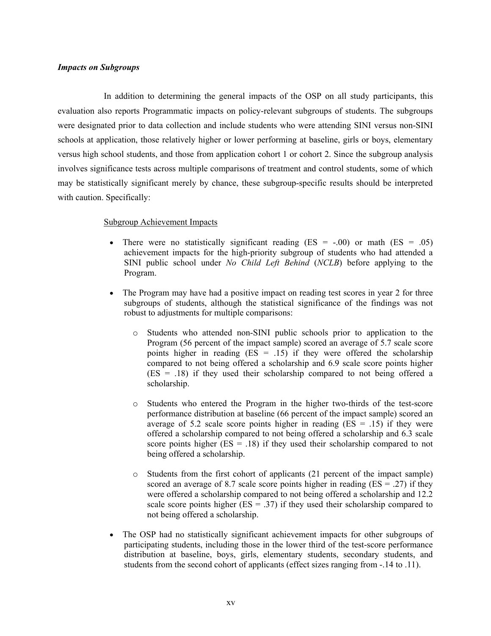#### *Impacts on Subgroups*

In addition to determining the general impacts of the OSP on all study participants, this evaluation also reports Programmatic impacts on policy-relevant subgroups of students. The subgroups were designated prior to data collection and include students who were attending SINI versus non-SINI schools at application, those relatively higher or lower performing at baseline, girls or boys, elementary versus high school students, and those from application cohort 1 or cohort 2. Since the subgroup analysis involves significance tests across multiple comparisons of treatment and control students, some of which may be statistically significant merely by chance, these subgroup-specific results should be interpreted with caution. Specifically:

#### Subgroup Achievement Impacts

- There were no statistically significant reading ( $ES = -.00$ ) or math ( $ES = .05$ ) achievement impacts for the high-priority subgroup of students who had attended a SINI public school under *No Child Left Behind* (*NCLB*) before applying to the Program.
- The Program may have had a positive impact on reading test scores in year 2 for three subgroups of students, although the statistical significance of the findings was not robust to adjustments for multiple comparisons:
	- o Students who attended non-SINI public schools prior to application to the Program (56 percent of the impact sample) scored an average of 5.7 scale score points higher in reading  $(ES = .15)$  if they were offered the scholarship compared to not being offered a scholarship and 6.9 scale score points higher  $(ES = .18)$  if they used their scholarship compared to not being offered a scholarship.
	- o Students who entered the Program in the higher two-thirds of the test-score performance distribution at baseline (66 percent of the impact sample) scored an average of 5.2 scale score points higher in reading  $(ES = .15)$  if they were offered a scholarship compared to not being offered a scholarship and 6.3 scale score points higher ( $ES = .18$ ) if they used their scholarship compared to not being offered a scholarship.
	- o Students from the first cohort of applicants (21 percent of the impact sample) scored an average of 8.7 scale score points higher in reading  $(ES = .27)$  if they were offered a scholarship compared to not being offered a scholarship and 12.2 scale score points higher ( $ES = .37$ ) if they used their scholarship compared to not being offered a scholarship.
- The OSP had no statistically significant achievement impacts for other subgroups of participating students, including those in the lower third of the test-score performance distribution at baseline, boys, girls, elementary students, secondary students, and students from the second cohort of applicants (effect sizes ranging from -.14 to .11).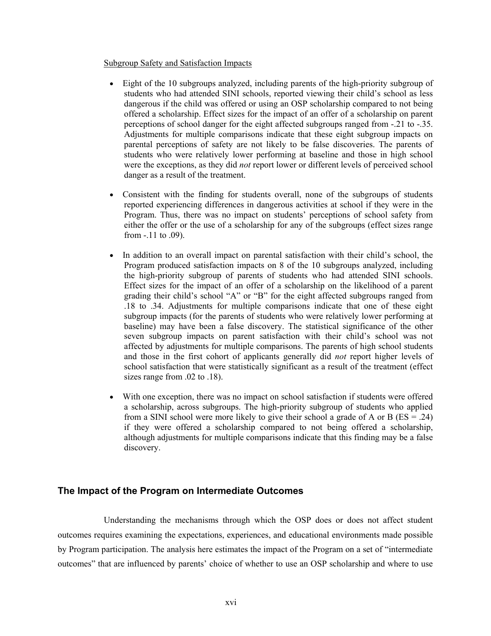#### Subgroup Safety and Satisfaction Impacts

- Eight of the 10 subgroups analyzed, including parents of the high-priority subgroup of students who had attended SINI schools, reported viewing their child's school as less dangerous if the child was offered or using an OSP scholarship compared to not being offered a scholarship. Effect sizes for the impact of an offer of a scholarship on parent perceptions of school danger for the eight affected subgroups ranged from -.21 to -.35. Adjustments for multiple comparisons indicate that these eight subgroup impacts on parental perceptions of safety are not likely to be false discoveries. The parents of students who were relatively lower performing at baseline and those in high school were the exceptions, as they did *not* report lower or different levels of perceived school danger as a result of the treatment.
- Consistent with the finding for students overall, none of the subgroups of students reported experiencing differences in dangerous activities at school if they were in the Program. Thus, there was no impact on students' perceptions of school safety from either the offer or the use of a scholarship for any of the subgroups (effect sizes range from -.11 to .09).
- In addition to an overall impact on parental satisfaction with their child's school, the Program produced satisfaction impacts on 8 of the 10 subgroups analyzed, including the high-priority subgroup of parents of students who had attended SINI schools. Effect sizes for the impact of an offer of a scholarship on the likelihood of a parent grading their child's school "A" or "B" for the eight affected subgroups ranged from .18 to .34. Adjustments for multiple comparisons indicate that one of these eight subgroup impacts (for the parents of students who were relatively lower performing at baseline) may have been a false discovery. The statistical significance of the other seven subgroup impacts on parent satisfaction with their child's school was not affected by adjustments for multiple comparisons. The parents of high school students and those in the first cohort of applicants generally did *not* report higher levels of school satisfaction that were statistically significant as a result of the treatment (effect sizes range from .02 to .18).
- With one exception, there was no impact on school satisfaction if students were offered a scholarship, across subgroups. The high-priority subgroup of students who applied from a SINI school were more likely to give their school a grade of A or B ( $ES = .24$ ) if they were offered a scholarship compared to not being offered a scholarship, although adjustments for multiple comparisons indicate that this finding may be a false discovery.

#### **The Impact of the Program on Intermediate Outcomes**

Understanding the mechanisms through which the OSP does or does not affect student outcomes requires examining the expectations, experiences, and educational environments made possible by Program participation. The analysis here estimates the impact of the Program on a set of "intermediate outcomes" that are influenced by parents' choice of whether to use an OSP scholarship and where to use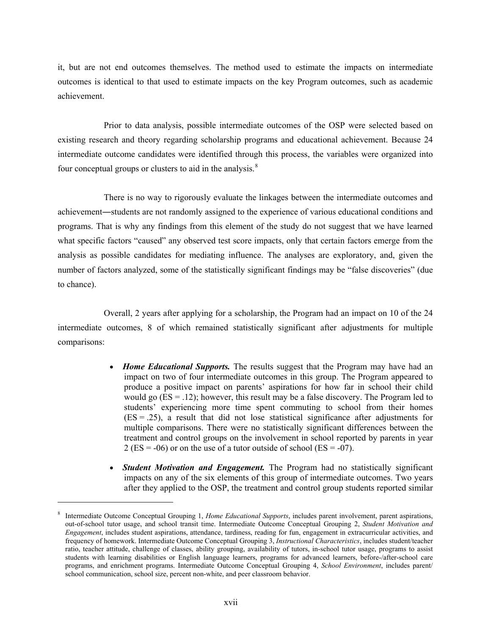it, but are not end outcomes themselves. The method used to estimate the impacts on intermediate outcomes is identical to that used to estimate impacts on the key Program outcomes, such as academic achievement.

Prior to data analysis, possible intermediate outcomes of the OSP were selected based on existing research and theory regarding scholarship programs and educational achievement. Because 24 intermediate outcome candidates were identified through this process, the variables were organized into four conceptual groups or clusters to aid in the analysis. $8$ 

There is no way to rigorously evaluate the linkages between the intermediate outcomes and achievement―students are not randomly assigned to the experience of various educational conditions and programs. That is why any findings from this element of the study do not suggest that we have learned what specific factors "caused" any observed test score impacts, only that certain factors emerge from the analysis as possible candidates for mediating influence. The analyses are exploratory, and, given the number of factors analyzed, some of the statistically significant findings may be "false discoveries" (due to chance).

Overall, 2 years after applying for a scholarship, the Program had an impact on 10 of the 24 intermediate outcomes, 8 of which remained statistically significant after adjustments for multiple comparisons:

- *Home Educational Supports.* The results suggest that the Program may have had an impact on two of four intermediate outcomes in this group. The Program appeared to produce a positive impact on parents' aspirations for how far in school their child would go  $(ES = .12)$ ; however, this result may be a false discovery. The Program led to students' experiencing more time spent commuting to school from their homes  $(ES = .25)$ , a result that did not lose statistical significance after adjustments for multiple comparisons. There were no statistically significant differences between the treatment and control groups on the involvement in school reported by parents in year  $2 (ES = -06)$  or on the use of a tutor outside of school  $(ES = -07)$ .
- *Student Motivation and Engagement*. The Program had no statistically significant impacts on any of the six elements of this group of intermediate outcomes. Two years after they applied to the OSP, the treatment and control group students reported similar

<span id="page-17-0"></span><sup>8</sup> Intermediate Outcome Conceptual Grouping 1, *Home Educational Supports*, includes parent involvement, parent aspirations, out-of-school tutor usage, and school transit time. Intermediate Outcome Conceptual Grouping 2, *Student Motivation and Engagement*, includes student aspirations, attendance, tardiness, reading for fun, engagement in extracurricular activities, and frequency of homework. Intermediate Outcome Conceptual Grouping 3, *Instructional Characteristics*, includes student/teacher ratio, teacher attitude, challenge of classes, ability grouping, availability of tutors, in-school tutor usage, programs to assist students with learning disabilities or English language learners, programs for advanced learners, before-/after-school care programs, and enrichment programs. Intermediate Outcome Conceptual Grouping 4, *School Environment*, includes parent/ school communication, school size, percent non-white, and peer classroom behavior.